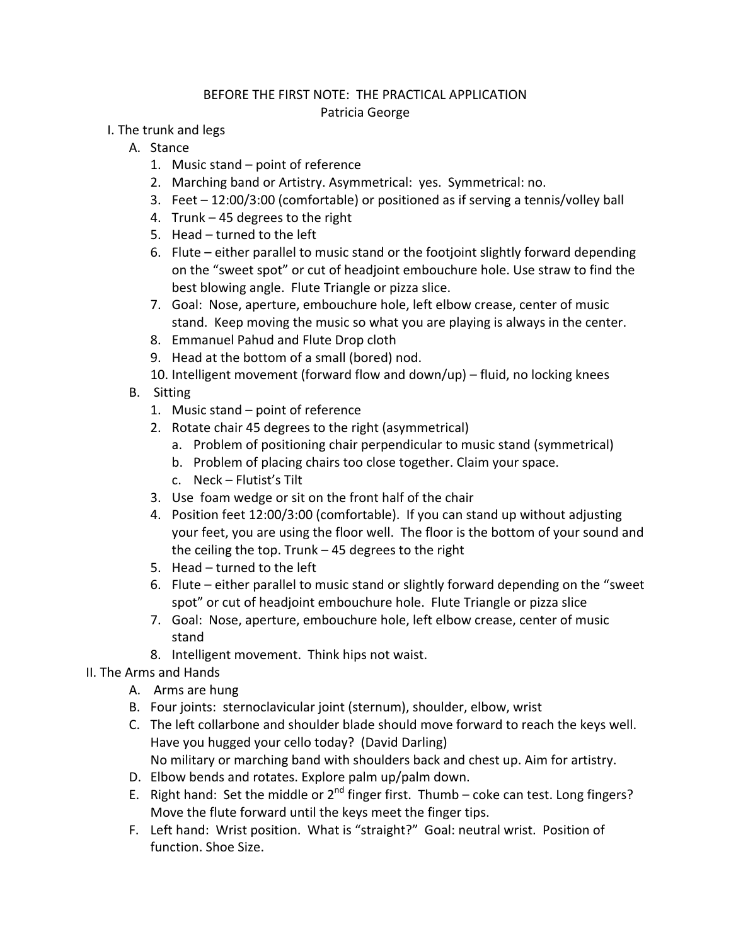### BEFORE THE FIRST NOTE: THE PRACTICAL APPLICATION Patricia George

- I. The trunk and legs
	- A. Stance
		- 1. Music stand point of reference
		- 2. Marching band or Artistry. Asymmetrical: yes. Symmetrical: no.
		- 3. Feet 12:00/3:00 (comfortable) or positioned as if serving a tennis/volley ball
		- 4. Trunk 45 degrees to the right
		- 5. Head turned to the left
		- 6. Flute either parallel to music stand or the footjoint slightly forward depending on the "sweet spot" or cut of headjoint embouchure hole. Use straw to find the best blowing angle. Flute Triangle or pizza slice.
		- 7. Goal: Nose, aperture, embouchure hole, left elbow crease, center of music stand. Keep moving the music so what you are playing is always in the center.
		- 8. Emmanuel Pahud and Flute Drop cloth
		- 9. Head at the bottom of a small (bored) nod.
		- 10. Intelligent movement (forward flow and down/up) fluid, no locking knees
	- B. Sitting
		- 1. Music stand point of reference
		- 2. Rotate chair 45 degrees to the right (asymmetrical)
			- a. Problem of positioning chair perpendicular to music stand (symmetrical)
			- b. Problem of placing chairs too close together. Claim your space.
			- c. Neck Flutist's Tilt
		- 3. Use foam wedge or sit on the front half of the chair
		- 4. Position feet 12:00/3:00 (comfortable). If you can stand up without adjusting your feet, you are using the floor well. The floor is the bottom of your sound and the ceiling the top. Trunk – 45 degrees to the right
		- 5. Head turned to the left
		- 6. Flute either parallel to music stand or slightly forward depending on the "sweet spot" or cut of headjoint embouchure hole. Flute Triangle or pizza slice
		- 7. Goal: Nose, aperture, embouchure hole, left elbow crease, center of music stand
		- 8. Intelligent movement. Think hips not waist.

# II. The Arms and Hands

- A. Arms are hung
- B. Four joints: sternoclavicular joint (sternum), shoulder, elbow, wrist
- C. The left collarbone and shoulder blade should move forward to reach the keys well. Have you hugged your cello today? (David Darling) No military or marching band with shoulders back and chest up. Aim for artistry.
- D. Elbow bends and rotates. Explore palm up/palm down.
- E. Right hand: Set the middle or  $2^{nd}$  finger first. Thumb coke can test. Long fingers? Move the flute forward until the keys meet the finger tips.
- F. Left hand: Wrist position. What is "straight?" Goal: neutral wrist. Position of function. Shoe Size.